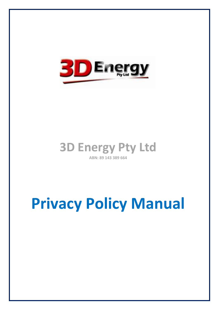

# **3D Energy Pty Ltd**

**ABN: 89 143 389 664** 

# **Privacy Policy Manual**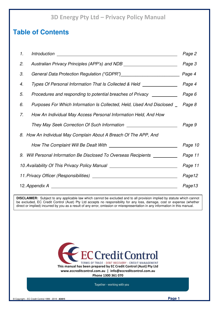# **Table of Contents**

| 1.                                                                               | <i><b>Introduction</b></i><br><u> 1989 - Johann Barn, amerikansk politiker (d. 1989)</u> | Page 2  |
|----------------------------------------------------------------------------------|------------------------------------------------------------------------------------------|---------|
| 2.                                                                               | Australian Privacy Principles (APP's) and NDB __________________________________         | Page 3  |
| 3.                                                                               |                                                                                          | Page 4  |
| 4.                                                                               | Types Of Personal Information That Is Collected & Held _________________________         | Page 4  |
| 5.                                                                               | Procedures and responding to potential breaches of Privacy ___________                   | Page 6  |
| 6.                                                                               | Purposes For Which Information Is Collected, Held, Used And Disclosed _                  | Page 8  |
| 7.                                                                               | How An Individual May Access Personal Information Held, And How                          |         |
|                                                                                  | They May Seek Correction Of Such Information ___________________________________         | Page 9  |
|                                                                                  | 8. How An Individual May Complain About A Breach Of The APP, And                         |         |
|                                                                                  |                                                                                          | Page 10 |
|                                                                                  | 9. Will Personal Information Be Disclosed To Overseas Recipients __________              | Page 11 |
| 10. Availability Of This Privacy Policy Manual _________________________________ |                                                                                          | Page 11 |
|                                                                                  |                                                                                          | Page12  |
| 12. Appendix A                                                                   |                                                                                          | Page13  |

**DISCLAIMER:** Subject to any applicable law which cannot be excluded and to all provision implied by statute which cannot be excluded, EC Credit Control (Aust) Pty Ltd accepts no responsibility for any loss, damage, cost or expense (whether direct or implied) incurred by you as a result of any error, omission or misrepresentation in any information in this manual.



**Phone 1300 361 070** 

Together - working with you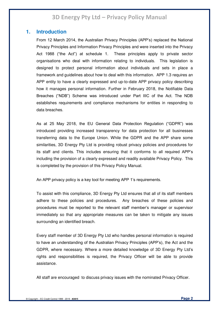## **1. Introduction**

From 12 March 2014, the Australian Privacy Principles (APP's) replaced the National Privacy Principles and Information Privacy Principles and were inserted into the Privacy Act 1988 ("the Act") at schedule 1. These principles apply to private sector organisations who deal with information relating to individuals. This legislation is designed to protect personal information about individuals and sets in place a framework and guidelines about how to deal with this information. APP 1.3 requires an APP entity to have a clearly expressed and up-to-date APP privacy policy describing how it manages personal information. Further in February 2018, the Notifiable Data Breaches ("NDB") Scheme was introduced under Part IIIC of the Act. The NDB establishes requirements and compliance mechanisms for entities in responding to data breaches.

As at 25 May 2018, the EU General Data Protection Regulation ("GDPR") was introduced providing increased transparency for data protection for all businesses transferring data to the Europe Union. While the GDPR and the APP share some similarities, 3D Energy Pty Ltd is providing robust privacy policies and procedures for its staff and clients. This includes ensuring that it conforms to all required APP's including the provision of a clearly expressed and readily available Privacy Policy. This is completed by the provision of this Privacy Policy Manual.

An APP privacy policy is a key tool for meeting APP 1's requirements.

To assist with this compliance, 3D Energy Pty Ltd ensures that all of its staff members adhere to these policies and procedures. Any breaches of these policies and procedures must be reported to the relevant staff member's manager or supervisor immediately so that any appropriate measures can be taken to mitigate any issues surrounding an identified breach.

Every staff member of 3D Energy Pty Ltd who handles personal information is required to have an understanding of the Australian Privacy Principles (APP's), the Act and the GDPR, where necessary. Where a more detailed knowledge of 3D Energy Pty Ltd's rights and responsibilities is required, the Privacy Officer will be able to provide assistance.

All staff are encouraged to discuss privacy issues with the nominated Privacy Officer.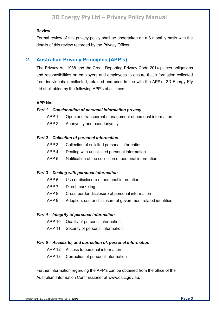## **Review**

Formal review of this privacy policy shall be undertaken on a 6 monthly basis with the details of this review recorded by the Privacy Officer.

## **2. Australian Privacy Principles (APP's)**

The Privacy Act 1988 and the Credit Reporting Privacy Code 2014 places obligations and responsibilities on employers and employees to ensure that information collected from individuals is collected, retained and used in line with the APP's. 3D Energy Pty Ltd shall abide by the following APP's at all times:

## **APP No.**

## *Part 1 – Consideration of personal information privacy*

- APP 1 Open and transparent management of personal information
- APP 2 Anonymity and pseudonymity

## *Part 2 – Collection of personal information*

- APP 3 Collection of solicited personal information
- APP 4 Dealing with unsolicited personal information
- APP 5 Notification of the collection of personal information

## *Part 3 – Dealing with personal information*

- APP 6 Use or disclosure of personal information
- APP 7 Direct marketing
- APP 8 Cross-border disclosure of personal information
- APP 9 Adoption, use or disclosure of government related identifiers

## *Part 4 – Integrity of personal information*

- APP 10 Quality of personal information
- APP 11 Security of personal information

## *Part 5 – Access to, and correction of, personal information*

- APP 12 Access to personal information
- APP 13 Correction of personal information

Further information regarding the APP's can be obtained from the office of the Australian Information Commissioner at www.oaic.gov.au.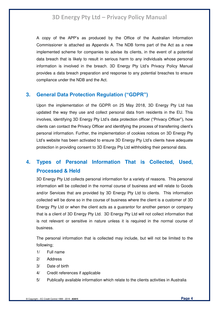A copy of the APP's as produced by the Office of the Australian Information Commissioner is attached as Appendix A. The NDB forms part of the Act as a new implemented scheme for companies to advise its clients, in the event of a potential data breach that is likely to result in serious harm to any individuals whose personal information is involved in the breach. 3D Energy Pty Ltd's Privacy Policy Manual provides a data breach preparation and response to any potential breaches to ensure compliance under the NDB and the Act.

## **3. General Data Protection Regulation ("GDPR")**

Upon the implementation of the GDPR on 25 May 2018, 3D Energy Pty Ltd has updated the way they use and collect personal data from residents in the EU. This involves, identifying 3D Energy Pty Ltd's data protection officer ("Privacy Officer"), how clients can contact the Privacy Officer and identifying the process of transferring client's personal information. Further, the implementation of cookies notices on 3D Energy Pty Ltd's website has been activated to ensure 3D Energy Pty Ltd's clients have adequate protection in providing consent to 3D Energy Pty Ltd withholding their personal data.

# **4. Types of Personal Information That is Collected, Used, Processed & Held**

3D Energy Pty Ltd collects personal information for a variety of reasons. This personal information will be collected in the normal course of business and will relate to Goods and/or Services that are provided by 3D Energy Pty Ltd to clients. This information collected will be done so in the course of business where the client is a customer of 3D Energy Pty Ltd or when the client acts as a guarantor for another person or company that is a client of 3D Energy Pty Ltd. 3D Energy Pty Ltd will not collect information that is not relevant or sensitive in nature unless it is required in the normal course of business.

The personal information that is collected may include, but will not be limited to the following;

- 1/ Full name
- 2/ Address
- 3/ Date of birth
- 4/ Credit references if applicable
- 5/ Publically available information which relate to the clients activities in Australia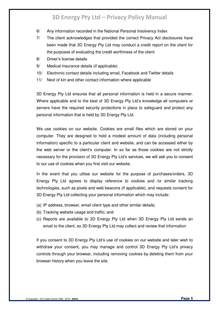- 6/ Any information recorded in the National Personal Insolvency Index
- 7/ The client acknowledges that provided the correct Privacy Act disclosures have been made that 3D Energy Pty Ltd may conduct a credit report on the client for the purposes of evaluating the credit worthiness of the client.
- 8/ Driver's license details
- 9/ Medical insurance details (if applicable)
- 10/ Electronic contact details including email, Facebook and Twitter details
- 11/ Next of kin and other contact information where applicable

3D Energy Pty Ltd ensures that all personal information is held in a secure manner. Where applicable and to the best of 3D Energy Pty Ltd's knowledge all computers or servers have the required security protections in place to safeguard and protect any personal information that is held by 3D Energy Pty Ltd.

We use cookies on our website. Cookies are small files which are stored on your computer. They are designed to hold a modest amount of data (including personal information) specific to a particular client and website, and can be accessed either by the web server or the client's computer. In so far as those cookies are not strictly necessary for the provision of 3D Energy Pty Ltd's services, we will ask you to consent to our use of cookies when you first visit our website.

In the event that you utilise our website for the purpose of purchases/orders, 3D Energy Pty Ltd agrees to display reference to cookies and /or similar tracking technologies, such as pixels and web beacons (if applicable), and requests consent for 3D Energy Pty Ltd collecting your personal information which may include:

- (a) IP address, browser, email client type and other similar details;
- (b) Tracking website usage and traffic; and
- (c) Reports are available to 3D Energy Pty Ltd when 3D Energy Pty Ltd sends an email to the client, so 3D Energy Pty Ltd may collect and review that information

If you consent to 3D Energy Pty Ltd's use of cookies on our website and later wish to withdraw your consent, you may manage and control 3D Energy Pty Ltd's privacy controls through your browser, including removing cookies by deleting them from your browser history when you leave the site.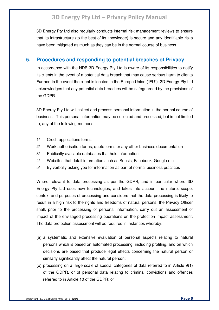3D Energy Pty Ltd also regularly conducts internal risk management reviews to ensure that its infrastructure (to the best of its knowledge) is secure and any identifiable risks have been mitigated as much as they can be in the normal course of business.

## **5. Procedures and responding to potential breaches of Privacy**

In accordance with the NDB 3D Energy Pty Ltd is aware of its responsibilities to notify its clients in the event of a potential data breach that may cause serious harm to clients. Further, in the event the client is located in the Europe Union ("EU"), 3D Energy Pty Ltd acknowledges that any potential data breaches will be safeguarded by the provisions of the GDPR.

3D Energy Pty Ltd will collect and process personal information in the normal course of business. This personal information may be collected and processed, but is not limited to, any of the following methods;

- 1/ Credit applications forms
- 2/ Work authorisation forms, quote forms or any other business documentation
- 3/ Publically available databases that hold information
- 4/ Websites that detail information such as Sensis, Facebook, Google etc
- 5/ By verbally asking you for information as part of normal business practices

Where relevant to data processing as per the GDPR, and in particular where 3D Energy Pty Ltd uses new technologies, and takes into account the nature, scope, context and purposes of processing and considers that the data processing is likely to result in a high risk to the rights and freedoms of natural persons, the Privacy Officer shall, prior to the processing of personal information, carry out an assessment of impact of the envisaged processing operations on the protection impact assessment. The data protection assessment will be required in instances whereby:

- (a) a systematic and extensive evaluation of personal aspects relating to natural persons which is based on automated processing, including profiling, and on which decisions are based that produce legal effects concerning the natural person or similarly significantly affect the natural person;
- (b) processing on a large scale of special categories of data referred to in [Article 9\(](https://gdpr-info.eu/art-9-gdpr/)1) of the GDPR, or of personal data relating to criminal convictions and offences referred to in [Article 10](https://gdpr-info.eu/art-10-gdpr/) of the GDPR; or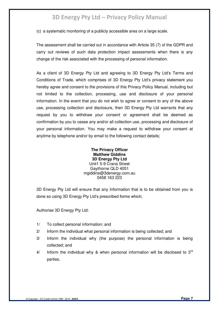(c) a systematic monitoring of a publicly accessible area on a large scale.

The assessment shall be carried out in accordance with Article 35 (7) of the GDPR and carry out reviews of such data protection impact assessments when there is any change of the risk associated with the processing of personal information.

As a client of 3D Energy Pty Ltd and agreeing to 3D Energy Pty Ltd's Terms and Conditions of Trade, which comprises of 3D Energy Pty Ltd's privacy statement you hereby agree and consent to the provisions of this Privacy Policy Manual, including but not limited to the collection, processing, use and disclosure of your personal information. In the event that you do not wish to agree or consent to any of the above use, processing collection and disclosure, then 3D Energy Pty Ltd warrants that any request by you to withdraw your consent or agreement shall be deemed as confirmation by you to cease any and/or all collection use, processing and disclosure of your personal information. You may make a request to withdraw your consent at anytime by telephone and/or by email to the following contact details;

> **The Privacy Officer Matthew Giddins 3D Energy Pty Ltd**  Unit1 5-9 Crana Street Gaythorne QLD 4051 [mgiddins@3denergy.com.au](mailto:mgiddins@3denergy.com.au)  0458 163 223

3D Energy Pty Ltd will ensure that any Information that is to be obtained from you is done so using 3D Energy Pty Ltd's prescribed forms which;

Authorise 3D Energy Pty Ltd:

- 1/ To collect personal information; and
- 2/ Inform the individual what personal information is being collected; and
- 3/ Inform the individual why (the purpose) the personal information is being collected; and
- 4/ Inform the individual why & when personal information will be disclosed to  $3<sup>rd</sup>$ parties.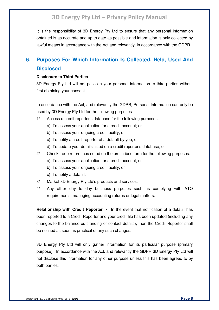It is the responsibility of 3D Energy Pty Ltd to ensure that any personal information obtained is as accurate and up to date as possible and information is only collected by lawful means in accordance with the Act and relevantly, in accordance with the GDPR.

# **6. Purposes For Which Information Is Collected, Held, Used And Disclosed**

## **Disclosure to Third Parties**

3D Energy Pty Ltd will not pass on your personal information to third parties without first obtaining your consent.

In accordance with the Act, and relevantly the GDPR, Personal Information can only be used by 3D Energy Pty Ltd for the following purposes:

- 1/ Access a credit reporter's database for the following purposes:
	- a) To assess your application for a credit account; or
	- b) To assess your ongoing credit facility; or
	- c) To notify a credit reporter of a default by you; or
	- d) To update your details listed on a credit reporter's database; or
- 2/ Check trade references noted on the prescribed form for the following purposes:
	- a) To assess your application for a credit account; or
	- b) To assess your ongoing credit facility; or
	- c) To notify a default.
- 3/ Market 3D Energy Pty Ltd's products and services.
- 4/ Any other day to day business purposes such as complying with ATO requirements, managing accounting returns or legal matters.

**Relationship with Credit Reporter -** In the event that notification of a default has been reported to a Credit Reporter and your credit file has been updated (including any changes to the balance outstanding or contact details), then the Credit Reporter shall be notified as soon as practical of any such changes.

3D Energy Pty Ltd will only gather information for its particular purpose (primary purpose). In accordance with the Act, and relevantly the GDPR 3D Energy Pty Ltd will not disclose this information for any other purpose unless this has been agreed to by both parties.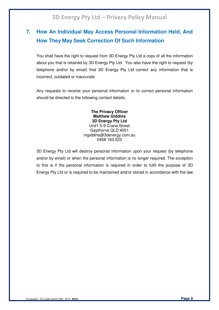# **7. How An Individual May Access Personal Information Held, And How They May Seek Correction Of Such Information**

You shall have the right to request from 3D Energy Pty Ltd a copy of all the information about you that is retained by 3D Energy Pty Ltd. You also have the right to request (by telephone and/or by email) that 3D Energy Pty Ltd correct any information that is incorrect, outdated or inaccurate.

Any requests to receive your personal information or to correct personal information should be directed to the following contact details;

> **The Privacy Officer Matthew Giddins 3D Energy Pty Ltd**  Unit1 5-9 Crana Street Gaythorne QLD 4051 [mgiddins@3denergy.com.au](mailto:mgiddins@3denergy.com.au)  0458 163 223

3D Energy Pty Ltd will destroy personal information upon your request (by telephone and/or by email) or when the personal information is no longer required. The exception to this is if the personal information is required in order to fulfil the purpose of 3D Energy Pty Ltd or is required to be maintained and/or stored in accordance with the law.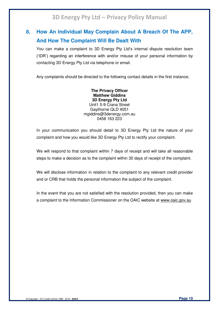# **8. How An Individual May Complain About A Breach Of The APP, And How The Complaint Will Be Dealt With**

You can make a complaint to 3D Energy Pty Ltd's internal dispute resolution team ('IDR') regarding an interference with and/or misuse of your personal information by contacting 3D Energy Pty Ltd via telephone or email.

Any complaints should be directed to the following contact details in the first instance;

**The Privacy Officer Matthew Giddins 3D Energy Pty Ltd**  Unit1 5-9 Crana Street Gaythorne QLD 4051 [mgiddins@3denergy.com.au](mailto:mgiddins@3denergy.com.au)  0458 163 223

In your communication you should detail to 3D Energy Pty Ltd the nature of your complaint and how you would like 3D Energy Pty Ltd to rectify your complaint.

We will respond to that complaint within 7 days of receipt and will take all reasonable steps to make a decision as to the complaint within 30 days of receipt of the complaint.

We will disclose information in relation to the complaint to any relevant credit provider and or CRB that holds the personal information the subject of the complaint.

In the event that you are not satisfied with the resolution provided, then you can make a complaint to the Information Commissioner on the OAIC website at [www.oaic.gov.au](http://www.oaic.gov.au/)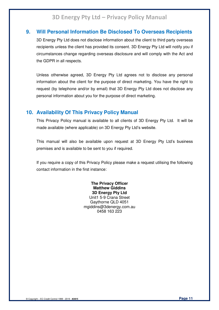## **9. Will Personal Information Be Disclosed To Overseas Recipients**

3D Energy Pty Ltd does not disclose information about the client to third party overseas recipients unless the client has provided its consent. 3D Energy Pty Ltd will notify you if circumstances change regarding overseas disclosure and will comply with the Act and the GDPR in all respects.

Unless otherwise agreed, 3D Energy Pty Ltd agrees not to disclose any personal information about the client for the purpose of direct marketing. You have the right to request (by telephone and/or by email) that 3D Energy Pty Ltd does not disclose any personal information about you for the purpose of direct marketing.

## **10. Availability Of This Privacy Policy Manual**

This Privacy Policy manual is available to all clients of 3D Energy Pty Ltd. It will be made available (where applicable) on 3D Energy Pty Ltd's website.

This manual will also be available upon request at 3D Energy Pty Ltd's business premises and is available to be sent to you if required.

If you require a copy of this Privacy Policy please make a request utilising the following contact information in the first instance:

> **The Privacy Officer Matthew Giddins 3D Energy Pty Ltd**  Unit1 5-9 Crana Street Gaythorne QLD 4051 [mgiddins@3denergy.com.au](mailto:mgiddins@3denergy.com.au)  0458 163 223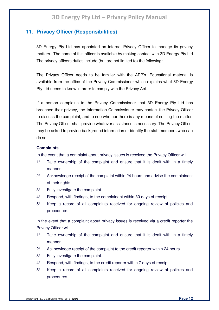## **11. Privacy Officer (Responsibilities)**

3D Energy Pty Ltd has appointed an internal Privacy Officer to manage its privacy matters. The name of this officer is available by making contact with 3D Energy Pty Ltd. The privacy officers duties include (but are not limited to) the following:

The Privacy Officer needs to be familiar with the APP's. Educational material is available from the office of the Privacy Commissioner which explains what 3D Energy Pty Ltd needs to know in order to comply with the Privacy Act.

If a person complains to the Privacy Commissioner that 3D Energy Pty Ltd has breached their privacy, the Information Commissioner may contact the Privacy Officer to discuss the complaint, and to see whether there is any means of settling the matter. The Privacy Officer shall provide whatever assistance is necessary. The Privacy Officer may be asked to provide background information or identify the staff members who can do so.

## **Complaints**

In the event that a complaint about privacy issues is received the Privacy Officer will:

- 1/ Take ownership of the complaint and ensure that it is dealt with in a timely manner.
- 2/ Acknowledge receipt of the complaint within 24 hours and advise the complainant of their rights.
- 3/ Fully investigate the complaint.
- 4/ Respond, with findings, to the complainant within 30 days of receipt.
- 5/ Keep a record of all complaints received for ongoing review of policies and procedures.

In the event that a complaint about privacy issues is received via a credit reporter the Privacy Officer will:

- 1/ Take ownership of the complaint and ensure that it is dealt with in a timely manner.
- 2/ Acknowledge receipt of the complaint to the credit reporter within 24 hours.
- 3/ Fully investigate the complaint.
- 4/ Respond, with findings, to the credit reporter within 7 days of receipt.
- 5/ Keep a record of all complaints received for ongoing review of policies and procedures.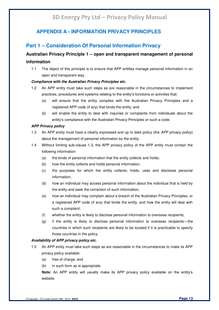## **APPENDIX A - INFORMATION PRIVACY PRINCIPLES**

## **Part 1 – Consideration Of Personal Information Privacy**

## **Australian Privacy Principle 1 – open and transparent management of personal information**

1.1 The object of this principle is to ensure that APP entities manage personal information in an open and transparent way.

## *Compliance with the Australian Privacy Principles etc.*

- 1.2 An APP entity must take such steps as are reasonable in the circumstances to implement practices, procedures and systems relating to the entity's functions or activities that:
	- (a) will ensure that the entity complies with the Australian Privacy Principles and a registered APP code (if any) that binds the entity; and
	- (b) will enable the entity to deal with inquiries or complaints from individuals about the entity's compliance with the Australian Privacy Principles or such a code.

## *APP Privacy policy*

- 1.3 An APP entity must have a clearly expressed and up to date policy (the *APP privacy policy*) about the management of personal information by the entity.
- 1.4 Without limiting sub-clause 1.3, the APP privacy policy of the APP entity must contain the following information:
	- (a) the kinds of personal information that the entity collects and holds;
	- (b) how the entity collects and holds personal information;
	- (c) the purposes for which the entity collects, holds, uses and discloses personal information;
	- (d) how an individual may access personal information about the individual that is held by the entity and seek the correction of such information;
	- (e) how an individual may complain about a breach of the Australian Privacy Principles, or a registered APP code (if any) that binds the entity, and how the entity will deal with such a complaint;
	- (f) whether the entity is likely to disclose personal information to overseas recipients;
	- (g) if the entity is likely to disclose personal information to overseas recipients—the countries in which such recipients are likely to be located if it is practicable to specify those countries in the policy.

## *Availability of APP privacy policy etc.*

- 1.5 An APP entity must take such steps as are reasonable in the circumstances to make its APP privacy policy available:
	- (a) free of charge; and
	- (b) in such form as is appropriate.

**Note:** An APP entity will usually make its APP privacy policy available on the entity's website.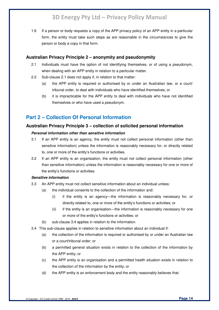1.6 If a person or body requests a copy of the APP privacy policy of an APP entity in a particular form, the entity must take such steps as are reasonable in the circumstances to give the person or body a copy in that form.

## **Australian Privacy Principle 2 – anonymity and pseudonymity**

- 2.1 Individuals must have the option of not identifying themselves, or of using a pseudonym, when dealing with an APP entity in relation to a particular matter.
- 2.2 Sub-clause 2.1 does not apply if, in relation to that matter:
	- (a) the APP entity is required or authorised by or under an Australian law, or a court/ tribunal order, to deal with individuals who have identified themselves; or
	- (b) it is impracticable for the APP entity to deal with individuals who have not identified themselves or who have used a pseudonym.

## **Part 2 – Collection Of Personal Information**

## **Australian Privacy Principle 3 – collection of solicited personal information**

## *Personal information other than sensitive information*

- 3.1 If an APP entity is an agency, the entity must not collect personal information (other than sensitive information) unless the information is reasonably necessary for, or directly related to, one or more of the entity's functions or activities.
- 3.2 If an APP entity is an organisation, the entity must not collect personal information (other than sensitive information) unless the information is reasonably necessary for one or more of the entity's functions or activities.

## *Sensitive information*

- 3.3 An APP entity must not collect sensitive information about an individual unless:
	- (a) the individual consents to the collection of the information and:
		- (i) if the entity is an agency—the information is reasonably necessary for, or directly related to, one or more of the entity's functions or activities; or
		- (ii) if the entity is an organisation—the information is reasonably necessary for one or more of the entity's functions or activities; or
	- (b) sub-clause 3.4 applies in relation to the information.
- 3.4 This sub-clause applies in relation to sensitive information about an individual if:
	- (a) the collection of the information is required or authorised by or under an Australian law or a court/tribunal order; or
	- (b) a permitted general situation exists in relation to the collection of the information by the APP entity; or
	- (c) the APP entity is an organisation and a permitted health situation exists in relation to the collection of the information by the entity; or
	- (d) the APP entity is an enforcement body and the entity reasonably believes that: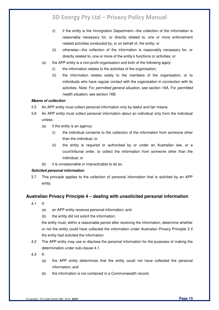- (i) if the entity is the Immigration Department—the collection of the information is reasonably necessary for, or directly related to, one or more enforcement related activities conducted by, or on behalf of, the entity; or
- (ii) otherwise—the collection of the information is reasonably necessary for, or directly related to, one or more of the entity's functions or activities; or
- (e) the APP entity is a non-profit organisation and both of the following apply:
	- (i) the information relates to the activities of the organisation;
	- (ii) the information relates solely to the members of the organisation, or to individuals who have regular contact with the organisation in connection with its activities. Note: For *permitted general situation*, see section 16A. For *permitted health situation*, see section 16B.

## *Means of collection*

- 3.5 An APP entity must collect personal information only by lawful and fair means.
- 3.6 An APP entity must collect personal information about an individual only from the individual unless:
	- (a) if the entity is an agency:
		- (i) the individual consents to the collection of the information from someone other than the individual; or
		- (ii) the entity is required or authorised by or under an Australian law, or a court/tribunal order, to collect the information from someone other than the individual; or
	- (b) it is unreasonable or impracticable to do so.

## *Solicited personal information*

3.7 This principle applies to the collection of personal information that is solicited by an APP entity.

## **Australian Privacy Principle 4 – dealing with unsolicited personal information**

- 4.1 If:
	- (a) an APP entity receives personal information; and
	- (b) the entity did not solicit the information;

the entity must, within a reasonable period after receiving the information, determine whether or not the entity could have collected the information under Australian Privacy Principle 3 if the entity had solicited the information.

- 4.2 The APP entity may use or disclose the personal information for the purposes of making the determination under sub-clause 4.1.
- 4.3 If:
	- (a) the APP entity determines that the entity could not have collected the personal information; and
	- (b) the information is not contained in a Commonwealth record;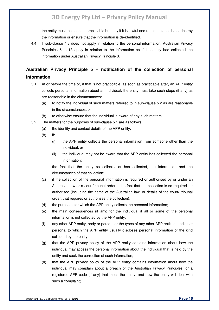the entity must, as soon as practicable but only if it is lawful and reasonable to do so, destroy the information or ensure that the information is de-identified.

4.4 If sub-clause 4.3 does not apply in relation to the personal information, Australian Privacy Principles 5 to 13 apply in relation to the information as if the entity had collected the information under Australian Privacy Principle 3.

## **Australian Privacy Principle 5 – notification of the collection of personal information**

- 5.1 At or before the time or, if that is not practicable, as soon as practicable after, an APP entity collects personal information about an individual, the entity must take such steps (if any) as are reasonable in the circumstances:
	- (a) to notify the individual of such matters referred to in sub-clause 5.2 as are reasonable in the circumstances; or
	- (b) to otherwise ensure that the individual is aware of any such matters.
- 5.2 The matters for the purposes of sub-clause 5.1 are as follows:
	- (a) the identity and contact details of the APP entity;
	- (b) if:
		- (i) the APP entity collects the personal information from someone other than the individual; or
		- (ii) the individual may not be aware that the APP entity has collected the personal information;

the fact that the entity so collects, or has collected, the information and the circumstances of that collection;

- (c) if the collection of the personal information is required or authorised by or under an Australian law or a court/tribunal order— the fact that the collection is so required or authorised (including the name of the Australian law, or details of the court/ tribunal order, that requires or authorises the collection);
- (d) the purposes for which the APP entity collects the personal information;
- (e) the main consequences (if any) for the individual if all or some of the personal information is not collected by the APP entity;
- (f) any other APP entity, body or person, or the types of any other APP entities, bodies or persons, to which the APP entity usually discloses personal information of the kind collected by the entity;
- (g) that the APP privacy policy of the APP entity contains information about how the individual may access the personal information about the individual that is held by the entity and seek the correction of such information;
- (h) that the APP privacy policy of the APP entity contains information about how the individual may complain about a breach of the Australian Privacy Principles, or a registered APP code (if any) that binds the entity, and how the entity will deal with such a complaint;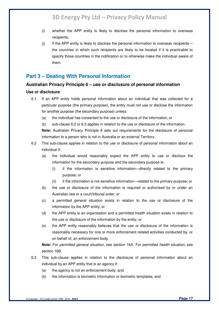- (i) whether the APP entity is likely to disclose the personal information to overseas recipients;
- $(i)$  if the APP entity is likely to disclose the personal information to overseas recipients the countries in which such recipients are likely to be located if it is practicable to specify those countries in the notification or to otherwise make the individual aware of them.

## **Part 3 – Dealing With Personal Information**

## **Australian Privacy Principle 6 – use or disclosure of personal information**

## **Use or disclosure**

- 6.1 If an APP entity holds personal information about an individual that was collected for a particular purpose (the primary purpose), the entity must not use or disclose the information for another purpose (the secondary purpose) unless:
	- (a) the individual has consented to the use or disclosure of the information; or
	- (b) sub-clause 6.2 or 6.3 applies in relation to the use or disclosure of the information.

**Note:** Australian Privacy Principle 8 sets out requirements for the disclosure of personal information to a person who is not in Australia or an external Territory.

- 6.2 This sub-clause applies in relation to the use or disclosure of personal information about an individual if:
	- (a) the individual would reasonably expect the APP entity to use or disclose the information for the secondary purpose and the secondary purpose is:
		- (i) if the information is sensitive information—directly related to the primary purpose; or
		- (ii) if the information is not sensitive information—related to the primary purpose; or
	- (b) the use or disclosure of the information is required or authorised by or under an Australian law or a court/tribunal order; or
	- (c) a permitted general situation exists in relation to the use or disclosure of the information by the APP entity; or
	- (d) the APP entity is an organisation and a permitted health situation exists in relation to the use or disclosure of the information by the entity; or
	- (e) the APP entity reasonably believes that the use or disclosure of the information is reasonably necessary for one or more enforcement related activities conducted by, or on behalf of, an enforcement body.

**Note:** For *permitted general situation*, see section 16A. For *permitted health situation*, see section 16B.

- 6.3 This sub-clause applies in relation to the disclosure of personal information about an individual by an APP entity that is an agency if:
	- (a) the agency is not an enforcement body; and
	- (b) the information is biometric information or biometric templates; and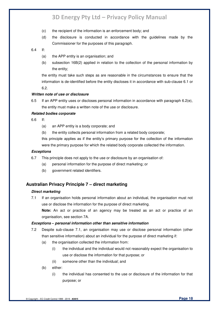- (c) the recipient of the information is an enforcement body; and
- (d) the disclosure is conducted in accordance with the guidelines made by the Commissioner for the purposes of this paragraph.
- 6.4 If:
	- (a) the APP entity is an organisation; and
	- (b) subsection 16B(2) applied in relation to the collection of the personal information by the entity;

the entity must take such steps as are reasonable in the circumstances to ensure that the information is de-identified before the entity discloses it in accordance with sub-clause 6.1 or

6.2.

#### *Written note of use or disclosure*

6.5 If an APP entity uses or discloses personal information in accordance with paragraph 6.2(e), the entity must make a written note of the use or disclosure.

#### *Related bodies corporate*

6.6 If:

- (a) an APP entity is a body corporate; and
- (b) the entity collects personal information from a related body corporate;

this principle applies as if the entity's primary purpose for the collection of the information were the primary purpose for which the related body corporate collected the information.

#### *Exceptions*

- 6.7 This principle does not apply to the use or disclosure by an organisation of:
	- (a) personal information for the purpose of direct marketing; or
	- (b) government related identifiers.

## **Australian Privacy Principle 7 – direct marketing**

## *Direct marketing*

7.1 If an organisation holds personal information about an individual, the organisation must not use or disclose the information for the purpose of direct marketing.

**Note:** An act or practice of an agency may be treated as an act or practice of an organisation, see section 7A.

## *Exceptions – personal information other than sensitive information*

- 7.2 Despite sub-clause 7.1, an organisation may use or disclose personal information (other than sensitive information) about an individual for the purpose of direct marketing if:
	- (a) the organisation collected the information from:
		- (i) the individual and the individual would not reasonably expect the organisation to use or disclose the information for that purpose; or
		- (ii) someone other than the individual; and
	- (b) either:
		- (i) the individual has consented to the use or disclosure of the information for that purpose; or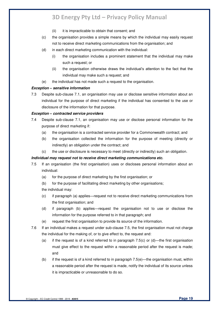- (ii) it is impracticable to obtain that consent; and
- (c) the organisation provides a simple means by which the individual may easily request not to receive direct marketing communications from the organisation; and
- (d) in each direct marketing communication with the individual:
	- (i) the organisation includes a prominent statement that the individual may make such a request; or
	- (ii) the organisation otherwise draws the individual's attention to the fact that the individual may make such a request; and
- (e) the individual has not made such a request to the organisation.

#### *Exception – sensitive information*

7.3 Despite sub-clause 7.1, an organisation may use or disclose sensitive information about an individual for the purpose of direct marketing if the individual has consented to the use or disclosure of the information for that purpose.

#### *Exception – contracted service providers*

- 7.4 Despite sub-clause 7.1, an organisation may use or disclose personal information for the purpose of direct marketing if:
	- (a) the organisation is a contracted service provider for a Commonwealth contract; and
	- (b) the organisation collected the information for the purpose of meeting (directly or indirectly) an obligation under the contract; and
	- (c) the use or disclosure is necessary to meet (directly or indirectly) such an obligation.

#### *Individual may request not to receive direct marketing communications etc.*

- 7.5 If an organisation (the first organisation) uses or discloses personal information about an individual:
	- (a) for the purpose of direct marketing by the first organisation; or
	- (b) for the purpose of facilitating direct marketing by other organisations; the individual may:
	- (c) if paragraph (a) applies—request not to receive direct marketing communications from the first organisation; and
	- (d) if paragraph (b) applies—request the organisation not to use or disclose the information for the purpose referred to in that paragraph; and
	- (e) request the first organisation to provide its source of the information.
- 7.6 If an individual makes a request under sub-clause 7.5, the first organisation must not charge the individual for the making of, or to give effect to, the request and:
	- (a) if the request is of a kind referred to in paragraph 7.5(c) or  $(d)$ —the first organisation must give effect to the request within a reasonable period after the request is made; and
	- (b) if the request is of a kind referred to in paragraph  $7.5(e)$ —the organisation must, within a reasonable period after the request is made, notify the individual of its source unless it is impracticable or unreasonable to do so.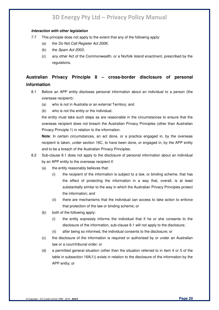## *Interaction with other legislation*

- 7.7 This principle does not apply to the extent that any of the following apply:
	- (a) the *Do Not Call Register Act 2006*;
	- (b) the *Spam Act 2003*;
	- (c) any other Act of the Commonwealth, or a Norfolk Island enactment, prescribed by the regulations.

## **Australian Privacy Principle 8 – cross-border disclosure of personal information**

- 8.1 Before an APP entity discloses personal information about an individual to a person (the overseas recipient):
	- (a) who is not in Australia or an external Territory; and
	- (b) who is not the entity or the individual;

the entity must take such steps as are reasonable in the circumstances to ensure that the overseas recipient does not breach the Australian Privacy Principles (other than Australian Privacy Principle 1) in relation to the information.

**Note**: In certain circumstances, an act done, or a practice engaged in, by the overseas recipient is taken, under section 16C, to have been done, or engaged in, by the APP entity and to be a breach of the Australian Privacy Principles.

- 8.2 Sub-clause 8.1 does not apply to the disclosure of personal information about an individual by an APP entity to the overseas recipient if:
	- (a) the entity reasonably believes that:
		- (i) the recipient of the information is subject to a law, or binding scheme, that has the effect of protecting the information in a way that, overall, is at least substantially similar to the way in which the Australian Privacy Principles protect the information; and
		- (ii) there are mechanisms that the individual can access to take action to enforce that protection of the law or binding scheme; or
	- (b) both of the following apply:
		- (i) the entity expressly informs the individual that if he or she consents to the disclosure of the information, sub-clause 8.1 will not apply to the disclosure;
		- (ii) after being so informed, the individual consents to the disclosure; or
	- (c) the disclosure of the information is required or authorised by or under an Australian law or a court/tribunal order; or
	- (d) a permitted general situation (other than the situation referred to in item 4 or 5 of the table in subsection 16A(1)) exists in relation to the disclosure of the information by the APP entity; or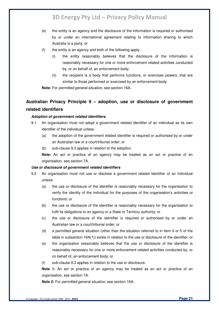- (e) the entity is an agency and the disclosure of the information is required or authorised by or under an international agreement relating to information sharing to which Australia is a party; or
- (f) the entity is an agency and both of the following apply:
	- (i) the entity reasonably believes that the disclosure of the information is reasonably necessary for one or more enforcement related activities conducted by, or on behalf of, an enforcement body;
	- (ii) the recipient is a body that performs functions, or exercises powers, that are similar to those performed or exercised by an enforcement body.

**Note:** For *permitted general situation*, see section 16A.

## **Australian Privacy Principle 9 – adoption, use or disclosure of government related identifiers**

#### *Adoption of government related identifiers*

- 9.1 An organisation must not adopt a government related identifier of an individual as its own identifier of the individual unless:
	- (a) the adoption of the government related identifier is required or authorised by or under an Australian law or a court/tribunal order; or
	- (b) sub-clause 9.3 applies in relation to the adoption.

**Note:** An act or practice of an agency may be treated as an act or practice of an organisation, see section 7A.

## *Use or disclosure of government related identifiers*

- 9.2 An organisation must not use or disclose a government related identifier of an individual unless:
	- (a) the use or disclosure of the identifier is reasonably necessary for the organisation to verify the identity of the individual for the purposes of the organisation's activities or functions; or
	- (b) the use or disclosure of the identifier is reasonably necessary for the organisation to fulfil its obligations to an agency or a State or Territory authority; or
	- (c) the use or disclosure of the identifier is required or authorised by or under an Australian law or a court/tribunal order; or
	- (d) a permitted general situation (other than the situation referred to in item 4 or 5 of the table in subsection 16A(1)) exists in relation to the use or disclosure of the identifier; or
	- (e) the organisation reasonably believes that the use or disclosure of the identifier is reasonably necessary for one or more enforcement related activities conducted by, or on behalf of, an enforcement body; or
	- (f) sub-clause 9.3 applies in relation to the use or disclosure.

**Note 1:** An act or practice of an agency may be treated as an act or practice of an organisation, see section 7A.

**Note 2:** For *permitted general situation*, see section 16A.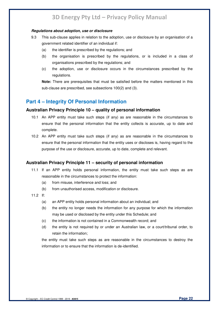#### *Regulations about adoption, use or disclosure*

- 9.3 This sub-clause applies in relation to the adoption, use or disclosure by an organisation of a government related identifier of an individual if:
	- (a) the identifier is prescribed by the regulations; and
	- (b) the organisation is prescribed by the regulations, or is included in a class of organisations prescribed by the regulations; and
	- (c) the adoption, use or disclosure occurs in the circumstances prescribed by the regulations.

**Note:** There are prerequisites that must be satisfied before the matters mentioned in this sub-clause are prescribed, see subsections 100(2) and (3).

## **Part 4 – Integrity Of Personal Information**

## **Australian Privacy Principle 10 – quality of personal information**

- 10.1 An APP entity must take such steps (if any) as are reasonable in the circumstances to ensure that the personal information that the entity collects is accurate, up to date and complete.
- 10.2 An APP entity must take such steps (if any) as are reasonable in the circumstances to ensure that the personal information that the entity uses or discloses is, having regard to the purpose of the use or disclosure, accurate, up to date, complete and relevant.

## **Australian Privacy Principle 11 – security of personal information**

- 11.1 If an APP entity holds personal information, the entity must take such steps as are reasonable in the circumstances to protect the information:
	- (a) from misuse, interference and loss; and
	- (b) from unauthorised access, modification or disclosure.
- 11.2 If:
	- (a) an APP entity holds personal information about an individual; and
	- (b) the entity no longer needs the information for any purpose for which the information may be used or disclosed by the entity under this Schedule; and
	- (c) the information is not contained in a Commonwealth record; and
	- (d) the entity is not required by or under an Australian law, or a court/tribunal order, to retain the information;

the entity must take such steps as are reasonable in the circumstances to destroy the information or to ensure that the information is de-identified.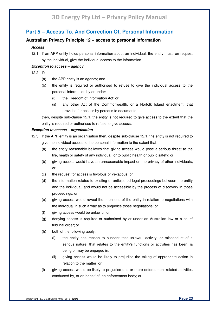## **Part 5 – Access To, And Correction Of, Personal Information**

## **Australian Privacy Principle 12 – access to personal information**

## *Access*

12.1 If an APP entity holds personal information about an individual, the entity must, on request by the individual, give the individual access to the information.

## *Exception to access – agency*

- $12.2$  If:
	- (a) the APP entity is an agency; and
	- (b) the entity is required or authorised to refuse to give the individual access to the personal information by or under:
		- (i) the Freedom of Information Act; or
		- (ii) any other Act of the Commonwealth, or a Norfolk Island enactment, that provides for access by persons to documents;

then, despite sub-clause 12.1, the entity is not required to give access to the extent that the entity is required or authorised to refuse to give access.

## *Exception to access – organisation*

- 12.3 If the APP entity is an organisation then, despite sub-clause 12.1, the entity is not required to give the individual access to the personal information to the extent that:
	- (a) the entity reasonably believes that giving access would pose a serious threat to the life, health or safety of any individual, or to public health or public safety; or
	- (b) giving access would have an unreasonable impact on the privacy of other individuals; or
	- (c) the request for access is frivolous or vexatious; or
	- (d) the information relates to existing or anticipated legal proceedings between the entity and the individual, and would not be accessible by the process of discovery in those proceedings; or
	- (e) giving access would reveal the intentions of the entity in relation to negotiations with the individual in such a way as to prejudice those negotiations; or
	- (f) giving access would be unlawful; or
	- (g) denying access is required or authorised by or under an Australian law or a court/ tribunal order; or
	- (h) both of the following apply:
		- (i) the entity has reason to suspect that unlawful activity, or misconduct of a serious nature, that relates to the entity's functions or activities has been, is being or may be engaged in;
		- (ii) giving access would be likely to prejudice the taking of appropriate action in relation to the matter; or
	- (i) giving access would be likely to prejudice one or more enforcement related activities conducted by, or on behalf of, an enforcement body; or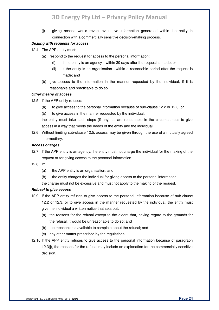(j) giving access would reveal evaluative information generated within the entity in connection with a commercially sensitive decision-making process.

#### *Dealing with requests for access*

- 12.4 The APP entity must:
	- (a) respond to the request for access to the personal information:
		- (i) if the entity is an agency—within 30 days after the request is made; or
		- (ii) if the entity is an organisation—within a reasonable period after the request is made; and
	- (b) give access to the information in the manner requested by the individual, if it is reasonable and practicable to do so.

#### *Other means of access*

- 12.5 If the APP entity refuses:
	- (a) to give access to the personal information because of sub-clause 12.2 or 12.3; or
	- (b) to give access in the manner requested by the individual;

the entity must take such steps (if any) as are reasonable in the circumstances to give access in a way that meets the needs of the entity and the individual.

12.6 Without limiting sub-clause 12.5, access may be given through the use of a mutually agreed intermediary.

## *Access charges*

- 12.7 If the APP entity is an agency, the entity must not charge the individual for the making of the request or for giving access to the personal information.
- 12.8 If:
	- (a) the APP entity is an organisation; and
	- (b) the entity charges the individual for giving access to the personal information;

the charge must not be excessive and must not apply to the making of the request.

## *Refusal to give access*

- 12.9 If the APP entity refuses to give access to the personal information because of sub-clause 12.2 or 12.3, or to give access in the manner requested by the individual, the entity must give the individual a written notice that sets out:
	- (a) the reasons for the refusal except to the extent that, having regard to the grounds for the refusal, it would be unreasonable to do so; and
	- (b) the mechanisms available to complain about the refusal; and
	- (c) any other matter prescribed by the regulations.
- 12.10 If the APP entity refuses to give access to the personal information because of paragraph 12.3(j), the reasons for the refusal may include an explanation for the commercially sensitive decision.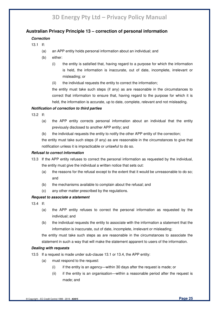## **Australian Privacy Principle 13 – correction of personal information**

## *Correction*

- 13.1 If:
	- (a) an APP entity holds personal information about an individual; and
	- (b) either:
		- (i) the entity is satisfied that, having regard to a purpose for which the information is held, the information is inaccurate, out of date, incomplete, irrelevant or misleading; or
		- (ii) the individual requests the entity to correct the information;

the entity must take such steps (if any) as are reasonable in the circumstances to correct that information to ensure that, having regard to the purpose for which it is held, the information is accurate, up to date, complete, relevant and not misleading.

#### *Notification of correction to third parties*

- 13.2 If:
	- (a) the APP entity corrects personal information about an individual that the entity previously disclosed to another APP entity; and
	- (b) the individual requests the entity to notify the other APP entity of the correction;

the entity must take such steps (if any) as are reasonable in the circumstances to give that notification unless it is impracticable or unlawful to do so.

#### *Refusal to correct information*

- 13.3 If the APP entity refuses to correct the personal information as requested by the individual, the entity must give the individual a written notice that sets out:
	- (a) the reasons for the refusal except to the extent that it would be unreasonable to do so; and
	- (b) the mechanisms available to complain about the refusal; and
	- (c) any other matter prescribed by the regulations.

#### *Request to associate a statement*

13.4 If:

- (a) the APP entity refuses to correct the personal information as requested by the individual; and
- (b) the individual requests the entity to associate with the information a statement that the information is inaccurate, out of date, incomplete, irrelevant or misleading;

the entity must take such steps as are reasonable in the circumstances to associate the statement in such a way that will make the statement apparent to users of the information.

## *Dealing with requests*

13.5 If a request is made under sub-clause 13.1 or 13.4, the APP entity:

- (a) must respond to the request:
	- (i) if the entity is an agency—within 30 days after the request is made; or
	- (ii) if the entity is an organisation—within a reasonable period after the request is made; and